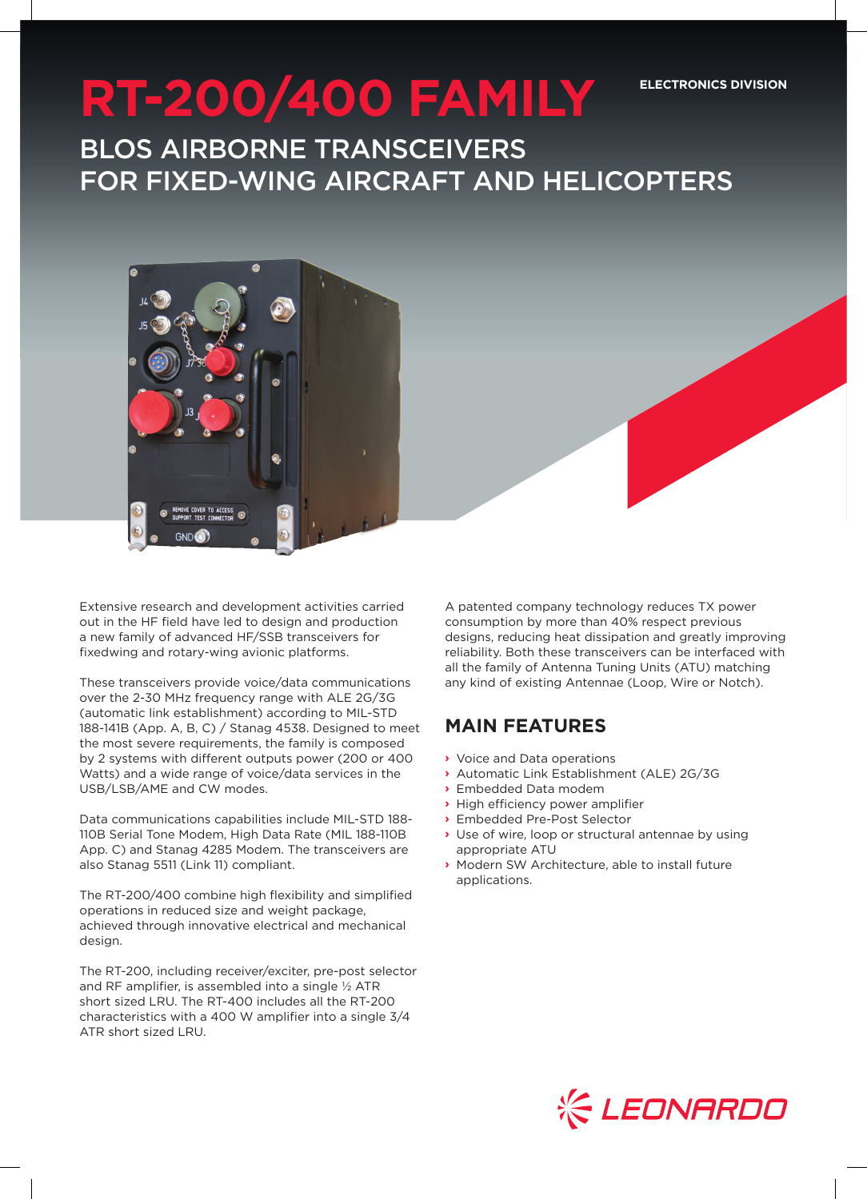#### **ELECTRONICS DIVISION**

# **RT-200/400 FAMILY**

BLOS AIRBORNE TRANSCEIVERS FOR FIXED-WING AIRCRAFT AND HELICOPTERS



Extensive research and development activities carried out in the HF field have led to design and production a new family of advanced HF/SSB transceivers for fixedwing and rotary-wing avionic platforms.

These transceivers provide voice/data communications over the 2-30 MHz frequency range with ALE 2G/3G (automatic link establishment) according to MIL-STD 188-141B (App. A, B, C) / Stanag 4538. Designed to meet the most severe requirements, the family is composed by 2 systems with different outputs power (200 or 400 Watts) and a wide range of voice/data services in the USB/LSB/AME and CW modes.

Data communications capabilities include MIL-STD 188- 110B Serial Tone Modem, High Data Rate (MIL 188-110B App. C) and Stanag 4285 Modem. The transceivers are also Stanag 5511 (Link 11) compliant.

The RT-200/400 combine high flexibility and simplified operations in reduced size and weight package, achieved through innovative electrical and mechanical design.

The RT-200, including receiver/exciter, pre-post selector and RF amplifier, is assembled into a single ½ ATR short sized LRU. The RT-400 includes all the RT-200 characteristics with a 400 W amplifier into a single 3/4 ATR short sized LRU.

A patented company technology reduces TX power consumption by more than 40% respect previous designs, reducing heat dissipation and greatly improving reliability. Both these transceivers can be interfaced with all the family of Antenna Tuning Units (ATU) matching any kind of existing Antennae (Loop, Wire or Notch).

## **MAIN FEATURES**

- **›** Voice and Data operations
- **›** Automatic Link Establishment (ALE) 2G/3G
- **›** Embedded Data modem
- **›** High efficiency power amplifier
- **›** Embedded Pre-Post Selector
- **›** Use of wire, loop or structural antennae by using appropriate ATU
- **›** Modern SW Architecture, able to install future applications.